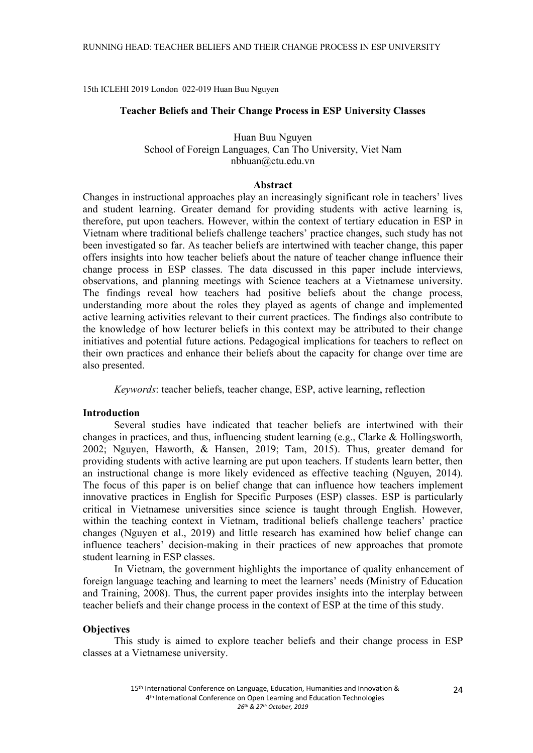15th ICLEHI 2019 London 022-019 Huan Buu Nguyen

#### **Teacher Beliefs and Their Change Process in ESP University Classes**

## Huan Buu Nguyen School of Foreign Languages, Can Tho University, Viet Nam nbhuan@ctu.edu.vn

#### **Abstract**

Changes in instructional approaches play an increasingly significant role in teachers' lives and student learning. Greater demand for providing students with active learning is, therefore, put upon teachers. However, within the context of tertiary education in ESP in Vietnam where traditional beliefs challenge teachers' practice changes, such study has not been investigated so far. As teacher beliefs are intertwined with teacher change, this paper offers insights into how teacher beliefs about the nature of teacher change influence their change process in ESP classes. The data discussed in this paper include interviews, observations, and planning meetings with Science teachers at a Vietnamese university. The findings reveal how teachers had positive beliefs about the change process, understanding more about the roles they played as agents of change and implemented active learning activities relevant to their current practices. The findings also contribute to the knowledge of how lecturer beliefs in this context may be attributed to their change initiatives and potential future actions. Pedagogical implications for teachers to reflect on their own practices and enhance their beliefs about the capacity for change over time are also presented.

*Keywords*: teacher beliefs, teacher change, ESP, active learning, reflection

## **Introduction**

Several studies have indicated that teacher beliefs are intertwined with their changes in practices, and thus, influencing student learning (e.g., Clarke & Hollingsworth, 2002; Nguyen, Haworth, & Hansen, 2019; Tam, 2015). Thus, greater demand for providing students with active learning are put upon teachers. If students learn better, then an instructional change is more likely evidenced as effective teaching (Nguyen, 2014). The focus of this paper is on belief change that can influence how teachers implement innovative practices in English for Specific Purposes (ESP) classes. ESP is particularly critical in Vietnamese universities since science is taught through English. However, within the teaching context in Vietnam, traditional beliefs challenge teachers' practice changes (Nguyen et al., 2019) and little research has examined how belief change can influence teachers' decision-making in their practices of new approaches that promote student learning in ESP classes.

In Vietnam, the government highlights the importance of quality enhancement of foreign language teaching and learning to meet the learners' needs (Ministry of Education and Training, 2008). Thus, the current paper provides insights into the interplay between teacher beliefs and their change process in the context of ESP at the time of this study.

#### **Objectives**

This study is aimed to explore teacher beliefs and their change process in ESP classes at a Vietnamese university.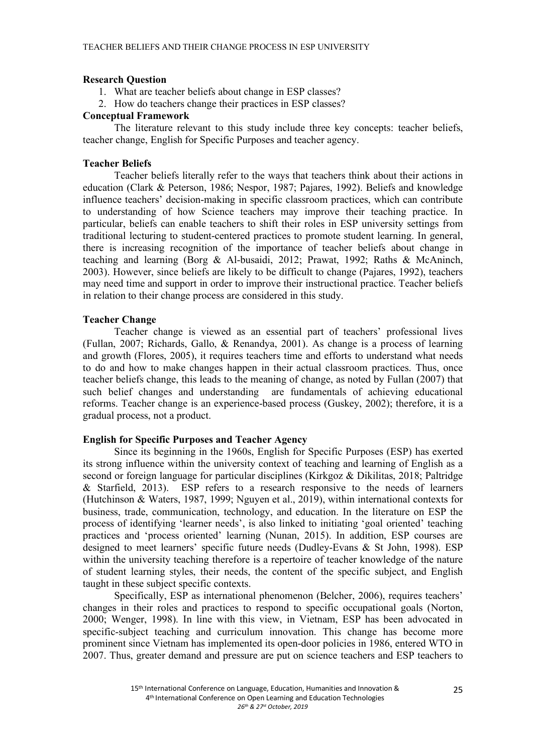## **Research Question**

- 1. What are teacher beliefs about change in ESP classes?
- 2. How do teachers change their practices in ESP classes?

## **Conceptual Framework**

The literature relevant to this study include three key concepts: teacher beliefs, teacher change, English for Specific Purposes and teacher agency.

## **Teacher Beliefs**

Teacher beliefs literally refer to the ways that teachers think about their actions in education (Clark & Peterson, 1986; Nespor, 1987; Pajares, 1992). Beliefs and knowledge influence teachers' decision-making in specific classroom practices, which can contribute to understanding of how Science teachers may improve their teaching practice. In particular, beliefs can enable teachers to shift their roles in ESP university settings from traditional lecturing to student-centered practices to promote student learning. In general, there is increasing recognition of the importance of teacher beliefs about change in teaching and learning (Borg & Al-busaidi, 2012; Prawat, 1992; Raths & McAninch, 2003). However, since beliefs are likely to be difficult to change (Pajares, 1992), teachers may need time and support in order to improve their instructional practice. Teacher beliefs in relation to their change process are considered in this study.

## **Teacher Change**

Teacher change is viewed as an essential part of teachers' professional lives (Fullan, 2007; Richards, Gallo, & Renandya, 2001). As change is a process of learning and growth (Flores, 2005), it requires teachers time and efforts to understand what needs to do and how to make changes happen in their actual classroom practices. Thus, once teacher beliefs change, this leads to the meaning of change, as noted by Fullan (2007) that such belief changes and understanding are fundamentals of achieving educational reforms. Teacher change is an experience-based process (Guskey, 2002); therefore, it is a gradual process, not a product.

## **English for Specific Purposes and Teacher Agency**

Since its beginning in the 1960s, English for Specific Purposes (ESP) has exerted its strong influence within the university context of teaching and learning of English as a second or foreign language for particular disciplines (Kirkgoz & Dikilitas, 2018; Paltridge & Starfield, 2013). ESP refers to a research responsive to the needs of learners (Hutchinson & Waters, 1987, 1999; Nguyen et al., 2019), within international contexts for business, trade, communication, technology, and education. In the literature on ESP the process of identifying 'learner needs', is also linked to initiating 'goal oriented' teaching practices and 'process oriented' learning (Nunan, 2015). In addition, ESP courses are designed to meet learners' specific future needs (Dudley-Evans & St John, 1998). ESP within the university teaching therefore is a repertoire of teacher knowledge of the nature of student learning styles, their needs, the content of the specific subject, and English taught in these subject specific contexts.

Specifically, ESP as international phenomenon (Belcher, 2006), requires teachers' changes in their roles and practices to respond to specific occupational goals (Norton, 2000; Wenger, 1998). In line with this view, in Vietnam, ESP has been advocated in specific-subject teaching and curriculum innovation. This change has become more prominent since Vietnam has implemented its open-door policies in 1986, entered WTO in 2007. Thus, greater demand and pressure are put on science teachers and ESP teachers to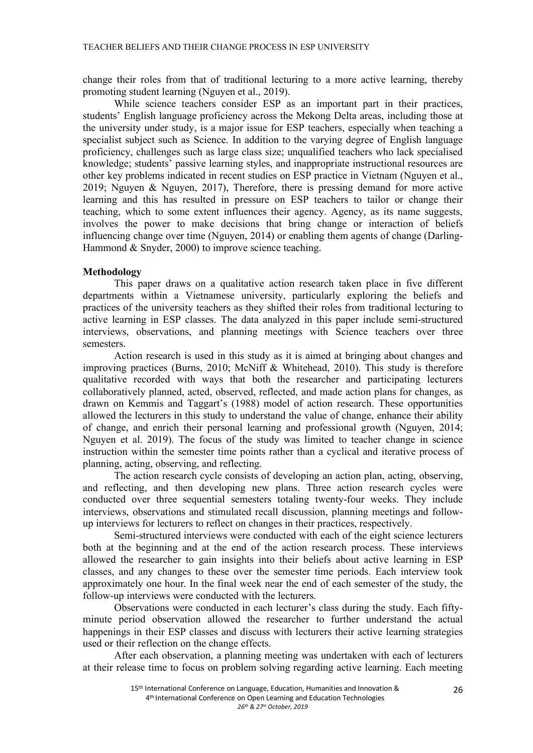change their roles from that of traditional lecturing to a more active learning, thereby promoting student learning (Nguyen et al., 2019).

While science teachers consider ESP as an important part in their practices, students' English language proficiency across the Mekong Delta areas, including those at the university under study, is a major issue for ESP teachers, especially when teaching a specialist subject such as Science. In addition to the varying degree of English language proficiency, challenges such as large class size; unqualified teachers who lack specialised knowledge; students' passive learning styles, and inappropriate instructional resources are other key problems indicated in recent studies on ESP practice in Vietnam (Nguyen et al., 2019; Nguyen & Nguyen, 2017), Therefore, there is pressing demand for more active learning and this has resulted in pressure on ESP teachers to tailor or change their teaching, which to some extent influences their agency. Agency, as its name suggests, involves the power to make decisions that bring change or interaction of beliefs influencing change over time (Nguyen, 2014) or enabling them agents of change (Darling-Hammond & Snyder, 2000) to improve science teaching.

## **Methodology**

This paper draws on a qualitative action research taken place in five different departments within a Vietnamese university, particularly exploring the beliefs and practices of the university teachers as they shifted their roles from traditional lecturing to active learning in ESP classes. The data analyzed in this paper include semi-structured interviews, observations, and planning meetings with Science teachers over three semesters.

Action research is used in this study as it is aimed at bringing about changes and improving practices (Burns, 2010; McNiff & Whitehead, 2010). This study is therefore qualitative recorded with ways that both the researcher and participating lecturers collaboratively planned, acted, observed, reflected, and made action plans for changes, as drawn on Kemmis and Taggart's (1988) model of action research. These opportunities allowed the lecturers in this study to understand the value of change, enhance their ability of change, and enrich their personal learning and professional growth (Nguyen, 2014; Nguyen et al. 2019). The focus of the study was limited to teacher change in science instruction within the semester time points rather than a cyclical and iterative process of planning, acting, observing, and reflecting.

The action research cycle consists of developing an action plan, acting, observing, and reflecting, and then developing new plans. Three action research cycles were conducted over three sequential semesters totaling twenty-four weeks. They include interviews, observations and stimulated recall discussion, planning meetings and followup interviews for lecturers to reflect on changes in their practices, respectively.

Semi-structured interviews were conducted with each of the eight science lecturers both at the beginning and at the end of the action research process. These interviews allowed the researcher to gain insights into their beliefs about active learning in ESP classes, and any changes to these over the semester time periods. Each interview took approximately one hour. In the final week near the end of each semester of the study, the follow-up interviews were conducted with the lecturers.

Observations were conducted in each lecturer's class during the study. Each fiftyminute period observation allowed the researcher to further understand the actual happenings in their ESP classes and discuss with lecturers their active learning strategies used or their reflection on the change effects.

After each observation, a planning meeting was undertaken with each of lecturers at their release time to focus on problem solving regarding active learning. Each meeting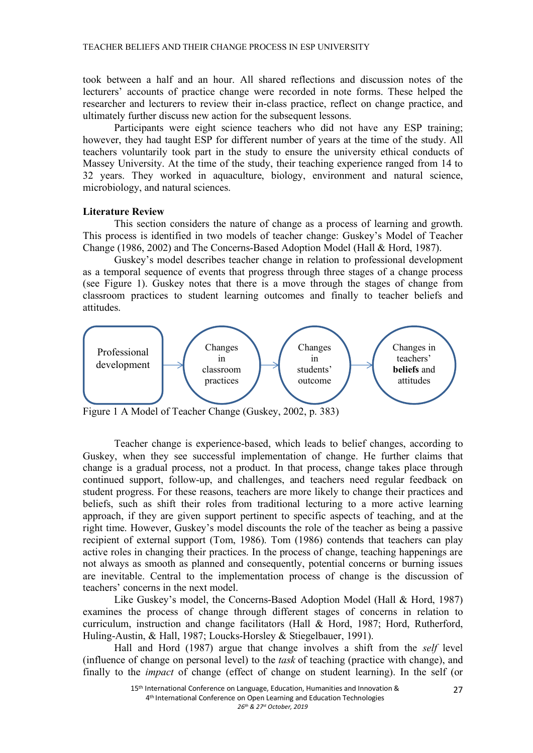TEACHER BELIEFS AND THEIR CHANGE PROCESS IN ESP UNIVERSITY

took between a half and an hour. All shared reflections and discussion notes of the lecturers' accounts of practice change were recorded in note forms. These helped the researcher and lecturers to review their in-class practice, reflect on change practice, and ultimately further discuss new action for the subsequent lessons.

Participants were eight science teachers who did not have any ESP training; however, they had taught ESP for different number of years at the time of the study. All teachers voluntarily took part in the study to ensure the university ethical conducts of Massey University. At the time of the study, their teaching experience ranged from 14 to 32 years. They worked in aquaculture, biology, environment and natural science, microbiology, and natural sciences.

## **Literature Review**

This section considers the nature of change as a process of learning and growth. This process is identified in two models of teacher change: Guskey's Model of Teacher Change (1986, 2002) and The Concerns-Based Adoption Model (Hall & Hord, 1987).

Guskey's model describes teacher change in relation to professional development as a temporal sequence of events that progress through three stages of a change process (see Figure 1). Guskey notes that there is a move through the stages of change from classroom practices to student learning outcomes and finally to teacher beliefs and attitudes.



Figure 1 A Model of Teacher Change (Guskey, 2002, p. 383)

Teacher change is experience-based, which leads to belief changes, according to Guskey, when they see successful implementation of change. He further claims that change is a gradual process, not a product. In that process, change takes place through continued support, follow-up, and challenges, and teachers need regular feedback on student progress. For these reasons, teachers are more likely to change their practices and beliefs, such as shift their roles from traditional lecturing to a more active learning approach, if they are given support pertinent to specific aspects of teaching, and at the right time. However, Guskey's model discounts the role of the teacher as being a passive recipient of external support (Tom, 1986). Tom (1986) contends that teachers can play active roles in changing their practices. In the process of change, teaching happenings are not always as smooth as planned and consequently, potential concerns or burning issues are inevitable. Central to the implementation process of change is the discussion of teachers' concerns in the next model.

Like Guskey's model, the Concerns-Based Adoption Model (Hall & Hord, 1987) examines the process of change through different stages of concerns in relation to curriculum, instruction and change facilitators (Hall & Hord, 1987; Hord, Rutherford, Huling-Austin, & Hall, 1987; Loucks-Horsley & Stiegelbauer, 1991).

Hall and Hord (1987) argue that change involves a shift from the *self* level (influence of change on personal level) to the *task* of teaching (practice with change), and finally to the *impact* of change (effect of change on student learning). In the self (or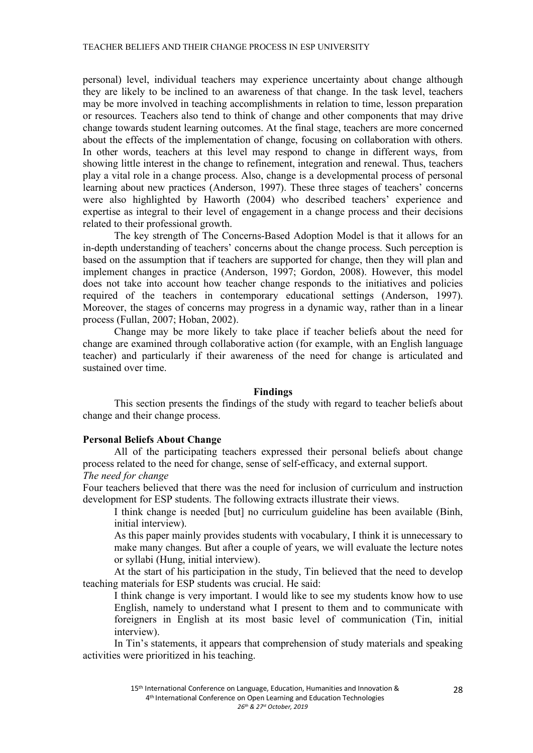personal) level, individual teachers may experience uncertainty about change although they are likely to be inclined to an awareness of that change. In the task level, teachers may be more involved in teaching accomplishments in relation to time, lesson preparation or resources. Teachers also tend to think of change and other components that may drive change towards student learning outcomes. At the final stage, teachers are more concerned about the effects of the implementation of change, focusing on collaboration with others. In other words, teachers at this level may respond to change in different ways, from showing little interest in the change to refinement, integration and renewal. Thus, teachers play a vital role in a change process. Also, change is a developmental process of personal learning about new practices (Anderson, 1997). These three stages of teachers' concerns were also highlighted by Haworth (2004) who described teachers' experience and expertise as integral to their level of engagement in a change process and their decisions related to their professional growth.

The key strength of The Concerns-Based Adoption Model is that it allows for an in-depth understanding of teachers' concerns about the change process. Such perception is based on the assumption that if teachers are supported for change, then they will plan and implement changes in practice (Anderson, 1997; Gordon, 2008). However, this model does not take into account how teacher change responds to the initiatives and policies required of the teachers in contemporary educational settings (Anderson, 1997). Moreover, the stages of concerns may progress in a dynamic way, rather than in a linear process (Fullan, 2007; Hoban, 2002).

Change may be more likely to take place if teacher beliefs about the need for change are examined through collaborative action (for example, with an English language teacher) and particularly if their awareness of the need for change is articulated and sustained over time.

#### **Findings**

This section presents the findings of the study with regard to teacher beliefs about change and their change process.

## **Personal Beliefs About Change**

All of the participating teachers expressed their personal beliefs about change process related to the need for change, sense of self-efficacy, and external support.

# *The need for change*

Four teachers believed that there was the need for inclusion of curriculum and instruction development for ESP students. The following extracts illustrate their views.

I think change is needed [but] no curriculum guideline has been available (Binh, initial interview).

As this paper mainly provides students with vocabulary, I think it is unnecessary to make many changes. But after a couple of years, we will evaluate the lecture notes or syllabi (Hung, initial interview).

At the start of his participation in the study, Tin believed that the need to develop teaching materials for ESP students was crucial. He said:

I think change is very important. I would like to see my students know how to use English, namely to understand what I present to them and to communicate with foreigners in English at its most basic level of communication (Tin, initial interview).

In Tin's statements, it appears that comprehension of study materials and speaking activities were prioritized in his teaching.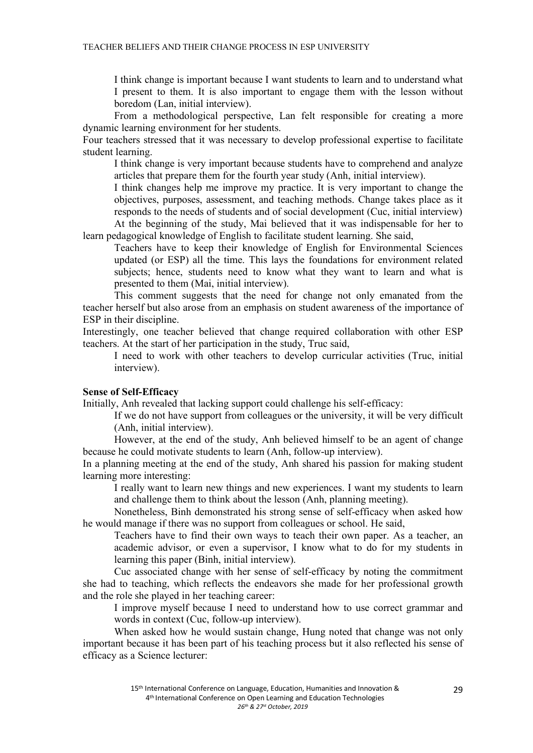I think change is important because I want students to learn and to understand what I present to them. It is also important to engage them with the lesson without boredom (Lan, initial interview).

From a methodological perspective, Lan felt responsible for creating a more dynamic learning environment for her students.

Four teachers stressed that it was necessary to develop professional expertise to facilitate student learning.

I think change is very important because students have to comprehend and analyze articles that prepare them for the fourth year study (Anh, initial interview).

I think changes help me improve my practice. It is very important to change the objectives, purposes, assessment, and teaching methods. Change takes place as it responds to the needs of students and of social development (Cuc, initial interview) At the beginning of the study, Mai believed that it was indispensable for her to

learn pedagogical knowledge of English to facilitate student learning. She said,

Teachers have to keep their knowledge of English for Environmental Sciences updated (or ESP) all the time. This lays the foundations for environment related subjects; hence, students need to know what they want to learn and what is presented to them (Mai, initial interview).

This comment suggests that the need for change not only emanated from the teacher herself but also arose from an emphasis on student awareness of the importance of ESP in their discipline.

Interestingly, one teacher believed that change required collaboration with other ESP teachers. At the start of her participation in the study, Truc said,

I need to work with other teachers to develop curricular activities (Truc, initial interview).

## **Sense of Self-Efficacy**

Initially, Anh revealed that lacking support could challenge his self-efficacy:

If we do not have support from colleagues or the university, it will be very difficult (Anh, initial interview).

However, at the end of the study, Anh believed himself to be an agent of change because he could motivate students to learn (Anh, follow-up interview).

In a planning meeting at the end of the study, Anh shared his passion for making student learning more interesting:

I really want to learn new things and new experiences. I want my students to learn and challenge them to think about the lesson (Anh, planning meeting).

Nonetheless, Binh demonstrated his strong sense of self-efficacy when asked how he would manage if there was no support from colleagues or school. He said,

Teachers have to find their own ways to teach their own paper. As a teacher, an academic advisor, or even a supervisor, I know what to do for my students in learning this paper (Binh, initial interview).

Cuc associated change with her sense of self-efficacy by noting the commitment she had to teaching, which reflects the endeavors she made for her professional growth and the role she played in her teaching career:

I improve myself because I need to understand how to use correct grammar and words in context (Cuc, follow-up interview).

When asked how he would sustain change, Hung noted that change was not only important because it has been part of his teaching process but it also reflected his sense of efficacy as a Science lecturer: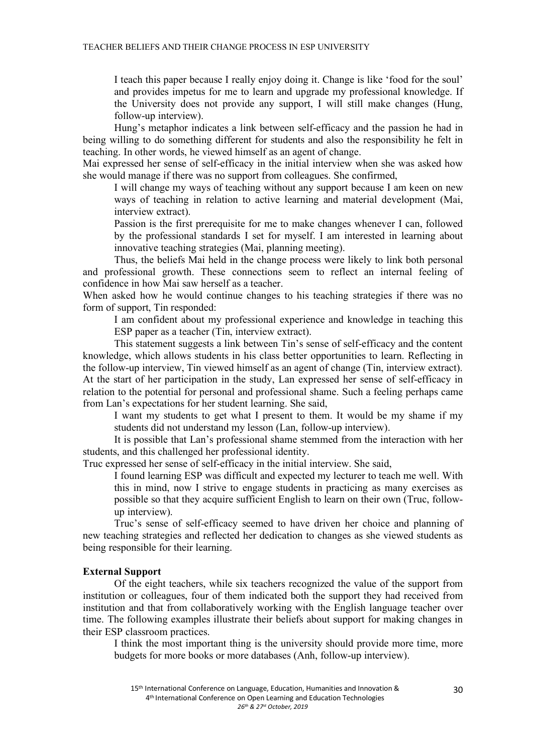I teach this paper because I really enjoy doing it. Change is like 'food for the soul' and provides impetus for me to learn and upgrade my professional knowledge. If the University does not provide any support, I will still make changes (Hung, follow-up interview).

Hung's metaphor indicates a link between self-efficacy and the passion he had in being willing to do something different for students and also the responsibility he felt in teaching. In other words, he viewed himself as an agent of change.

Mai expressed her sense of self-efficacy in the initial interview when she was asked how she would manage if there was no support from colleagues. She confirmed,

I will change my ways of teaching without any support because I am keen on new ways of teaching in relation to active learning and material development (Mai, interview extract).

Passion is the first prerequisite for me to make changes whenever I can, followed by the professional standards I set for myself. I am interested in learning about innovative teaching strategies (Mai, planning meeting).

Thus, the beliefs Mai held in the change process were likely to link both personal and professional growth. These connections seem to reflect an internal feeling of confidence in how Mai saw herself as a teacher.

When asked how he would continue changes to his teaching strategies if there was no form of support, Tin responded:

I am confident about my professional experience and knowledge in teaching this ESP paper as a teacher (Tin, interview extract).

This statement suggests a link between Tin's sense of self-efficacy and the content knowledge, which allows students in his class better opportunities to learn. Reflecting in the follow-up interview, Tin viewed himself as an agent of change (Tin, interview extract). At the start of her participation in the study, Lan expressed her sense of self-efficacy in relation to the potential for personal and professional shame. Such a feeling perhaps came from Lan's expectations for her student learning. She said,

I want my students to get what I present to them. It would be my shame if my students did not understand my lesson (Lan, follow-up interview).

It is possible that Lan's professional shame stemmed from the interaction with her students, and this challenged her professional identity.

Truc expressed her sense of self-efficacy in the initial interview. She said,

I found learning ESP was difficult and expected my lecturer to teach me well. With this in mind, now I strive to engage students in practicing as many exercises as possible so that they acquire sufficient English to learn on their own (Truc, followup interview).

Truc's sense of self-efficacy seemed to have driven her choice and planning of new teaching strategies and reflected her dedication to changes as she viewed students as being responsible for their learning.

## **External Support**

Of the eight teachers, while six teachers recognized the value of the support from institution or colleagues, four of them indicated both the support they had received from institution and that from collaboratively working with the English language teacher over time. The following examples illustrate their beliefs about support for making changes in their ESP classroom practices.

I think the most important thing is the university should provide more time, more budgets for more books or more databases (Anh, follow-up interview).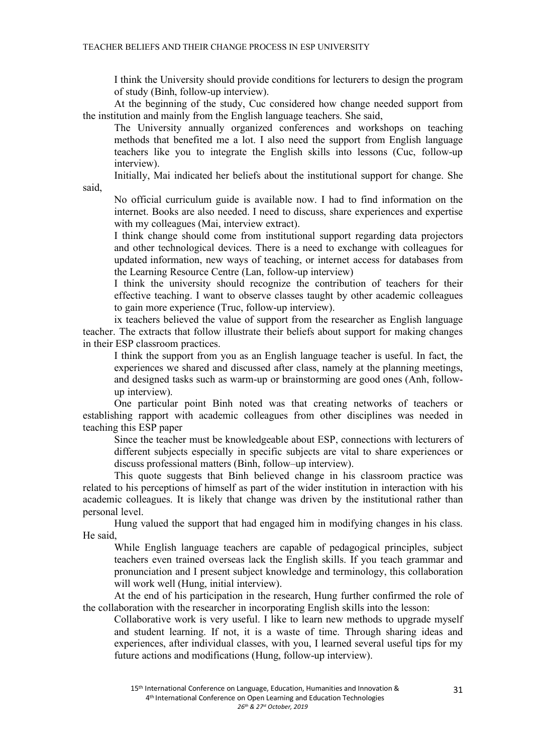I think the University should provide conditions for lecturers to design the program of study (Binh, follow-up interview).

At the beginning of the study, Cuc considered how change needed support from the institution and mainly from the English language teachers. She said,

The University annually organized conferences and workshops on teaching methods that benefited me a lot. I also need the support from English language teachers like you to integrate the English skills into lessons (Cuc, follow-up interview).

Initially, Mai indicated her beliefs about the institutional support for change. She

said,

No official curriculum guide is available now. I had to find information on the internet. Books are also needed. I need to discuss, share experiences and expertise with my colleagues (Mai, interview extract).

I think change should come from institutional support regarding data projectors and other technological devices. There is a need to exchange with colleagues for updated information, new ways of teaching, or internet access for databases from the Learning Resource Centre (Lan, follow-up interview)

I think the university should recognize the contribution of teachers for their effective teaching. I want to observe classes taught by other academic colleagues to gain more experience (Truc, follow-up interview).

ix teachers believed the value of support from the researcher as English language teacher. The extracts that follow illustrate their beliefs about support for making changes in their ESP classroom practices.

I think the support from you as an English language teacher is useful. In fact, the experiences we shared and discussed after class, namely at the planning meetings, and designed tasks such as warm-up or brainstorming are good ones (Anh, followup interview).

One particular point Binh noted was that creating networks of teachers or establishing rapport with academic colleagues from other disciplines was needed in teaching this ESP paper

Since the teacher must be knowledgeable about ESP, connections with lecturers of different subjects especially in specific subjects are vital to share experiences or discuss professional matters (Binh, follow–up interview).

This quote suggests that Binh believed change in his classroom practice was related to his perceptions of himself as part of the wider institution in interaction with his academic colleagues. It is likely that change was driven by the institutional rather than personal level.

Hung valued the support that had engaged him in modifying changes in his class. He said,

While English language teachers are capable of pedagogical principles, subject teachers even trained overseas lack the English skills. If you teach grammar and pronunciation and I present subject knowledge and terminology, this collaboration will work well (Hung, initial interview).

At the end of his participation in the research, Hung further confirmed the role of the collaboration with the researcher in incorporating English skills into the lesson:

Collaborative work is very useful. I like to learn new methods to upgrade myself and student learning. If not, it is a waste of time. Through sharing ideas and experiences, after individual classes, with you, I learned several useful tips for my future actions and modifications (Hung, follow-up interview).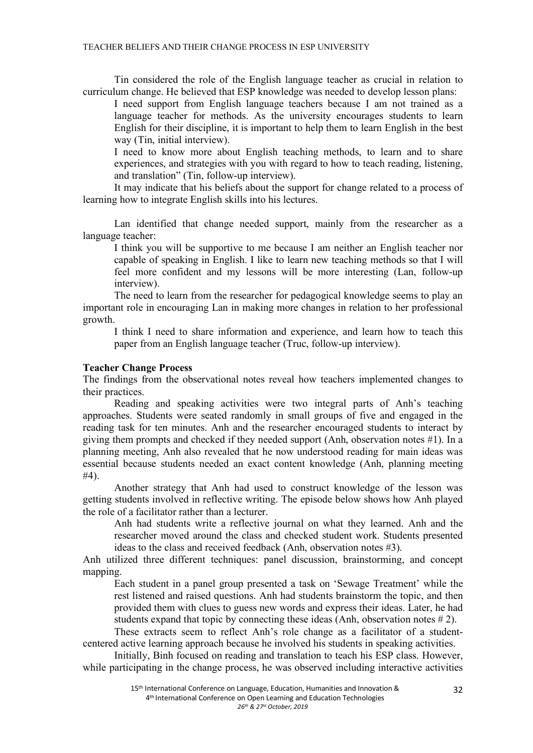Tin considered the role of the English language teacher as crucial in relation to curriculum change. He believed that ESP knowledge was needed to develop lesson plans:

I need support from English language teachers because I am not trained as a language teacher for methods. As the university encourages students to learn English for their discipline, it is important to help them to learn English in the best way (Tin, initial interview).

I need to know more about English teaching methods, to learn and to share experiences, and strategies with you with regard to how to teach reading, listening, and translation" (Tin, follow-up interview).

It may indicate that his beliefs about the support for change related to a process of learning how to integrate English skills into his lectures.

Lan identified that change needed support, mainly from the researcher as a language teacher:

I think you will be supportive to me because I am neither an English teacher nor capable of speaking in English. I like to learn new teaching methods so that I will feel more confident and my lessons will be more interesting (Lan, follow-up interview).

The need to learn from the researcher for pedagogical knowledge seems to play an important role in encouraging Lan in making more changes in relation to her professional growth.

I think I need to share information and experience, and learn how to teach this paper from an English language teacher (Truc, follow-up interview).

## **Teacher Change Process**

The findings from the observational notes reveal how teachers implemented changes to their practices.

Reading and speaking activities were two integral parts of Anh's teaching approaches. Students were seated randomly in small groups of five and engaged in the reading task for ten minutes. Anh and the researcher encouraged students to interact by giving them prompts and checked if they needed support (Anh, observation notes #1). In a planning meeting, Anh also revealed that he now understood reading for main ideas was essential because students needed an exact content knowledge (Anh, planning meeting #4).

Another strategy that Anh had used to construct knowledge of the lesson was getting students involved in reflective writing. The episode below shows how Anh played the role of a facilitator rather than a lecturer.

Anh had students write a reflective journal on what they learned. Anh and the researcher moved around the class and checked student work. Students presented ideas to the class and received feedback (Anh, observation notes #3).

Anh utilized three different techniques: panel discussion, brainstorming, and concept mapping.

Each student in a panel group presented a task on 'Sewage Treatment' while the rest listened and raised questions. Anh had students brainstorm the topic, and then provided them with clues to guess new words and express their ideas. Later, he had students expand that topic by connecting these ideas (Anh, observation notes  $\# 2$ ).

These extracts seem to reflect Anh's role change as a facilitator of a studentcentered active learning approach because he involved his students in speaking activities.

Initially, Binh focused on reading and translation to teach his ESP class. However, while participating in the change process, he was observed including interactive activities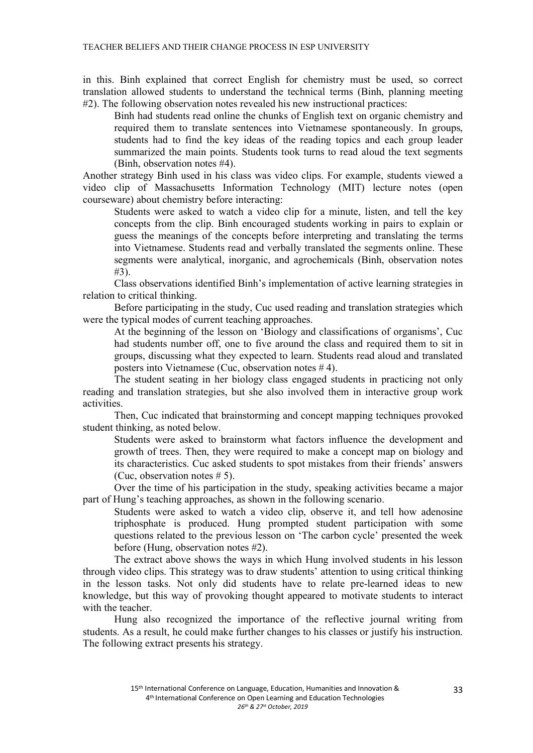in this. Binh explained that correct English for chemistry must be used, so correct translation allowed students to understand the technical terms (Binh, planning meeting #2). The following observation notes revealed his new instructional practices:

Binh had students read online the chunks of English text on organic chemistry and required them to translate sentences into Vietnamese spontaneously. In groups, students had to find the key ideas of the reading topics and each group leader summarized the main points. Students took turns to read aloud the text segments (Binh, observation notes #4).

Another strategy Binh used in his class was video clips. For example, students viewed a video clip of Massachusetts Information Technology (MIT) lecture notes (open courseware) about chemistry before interacting:

Students were asked to watch a video clip for a minute, listen, and tell the key concepts from the clip. Binh encouraged students working in pairs to explain or guess the meanings of the concepts before interpreting and translating the terms into Vietnamese. Students read and verbally translated the segments online. These segments were analytical, inorganic, and agrochemicals (Binh, observation notes #3).

Class observations identified Binh's implementation of active learning strategies in relation to critical thinking.

Before participating in the study, Cuc used reading and translation strategies which were the typical modes of current teaching approaches.

At the beginning of the lesson on 'Biology and classifications of organisms', Cuc had students number off, one to five around the class and required them to sit in groups, discussing what they expected to learn. Students read aloud and translated posters into Vietnamese (Cuc, observation notes # 4).

The student seating in her biology class engaged students in practicing not only reading and translation strategies, but she also involved them in interactive group work activities.

Then, Cuc indicated that brainstorming and concept mapping techniques provoked student thinking, as noted below.

Students were asked to brainstorm what factors influence the development and growth of trees. Then, they were required to make a concept map on biology and its characteristics. Cuc asked students to spot mistakes from their friends' answers (Cuc, observation notes  $# 5$ ).

Over the time of his participation in the study, speaking activities became a major part of Hung's teaching approaches, as shown in the following scenario.

Students were asked to watch a video clip, observe it, and tell how adenosine triphosphate is produced. Hung prompted student participation with some questions related to the previous lesson on 'The carbon cycle' presented the week before (Hung, observation notes #2).

The extract above shows the ways in which Hung involved students in his lesson through video clips. This strategy was to draw students' attention to using critical thinking in the lesson tasks. Not only did students have to relate pre-learned ideas to new knowledge, but this way of provoking thought appeared to motivate students to interact with the teacher

Hung also recognized the importance of the reflective journal writing from students. As a result, he could make further changes to his classes or justify his instruction. The following extract presents his strategy.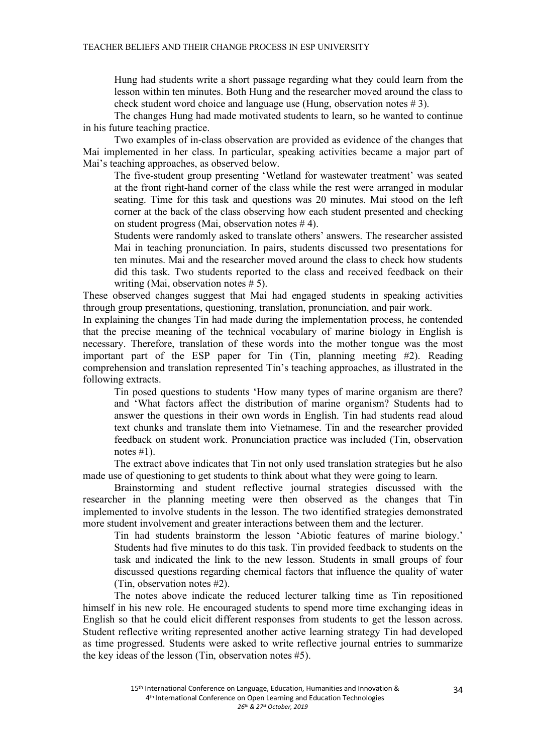Hung had students write a short passage regarding what they could learn from the lesson within ten minutes. Both Hung and the researcher moved around the class to check student word choice and language use (Hung, observation notes # 3).

The changes Hung had made motivated students to learn, so he wanted to continue in his future teaching practice.

Two examples of in-class observation are provided as evidence of the changes that Mai implemented in her class. In particular, speaking activities became a major part of Mai's teaching approaches, as observed below.

The five-student group presenting 'Wetland for wastewater treatment' was seated at the front right-hand corner of the class while the rest were arranged in modular seating. Time for this task and questions was 20 minutes. Mai stood on the left corner at the back of the class observing how each student presented and checking on student progress (Mai, observation notes # 4).

Students were randomly asked to translate others' answers. The researcher assisted Mai in teaching pronunciation. In pairs, students discussed two presentations for ten minutes. Mai and the researcher moved around the class to check how students did this task. Two students reported to the class and received feedback on their writing (Mai, observation notes # 5).

These observed changes suggest that Mai had engaged students in speaking activities through group presentations, questioning, translation, pronunciation, and pair work.

In explaining the changes Tin had made during the implementation process, he contended that the precise meaning of the technical vocabulary of marine biology in English is necessary. Therefore, translation of these words into the mother tongue was the most important part of the ESP paper for Tin (Tin, planning meeting #2). Reading comprehension and translation represented Tin's teaching approaches, as illustrated in the following extracts.

Tin posed questions to students 'How many types of marine organism are there? and 'What factors affect the distribution of marine organism? Students had to answer the questions in their own words in English. Tin had students read aloud text chunks and translate them into Vietnamese. Tin and the researcher provided feedback on student work. Pronunciation practice was included (Tin, observation notes  $#1$ ).

The extract above indicates that Tin not only used translation strategies but he also made use of questioning to get students to think about what they were going to learn.

Brainstorming and student reflective journal strategies discussed with the researcher in the planning meeting were then observed as the changes that Tin implemented to involve students in the lesson. The two identified strategies demonstrated more student involvement and greater interactions between them and the lecturer.

Tin had students brainstorm the lesson 'Abiotic features of marine biology.' Students had five minutes to do this task. Tin provided feedback to students on the task and indicated the link to the new lesson. Students in small groups of four discussed questions regarding chemical factors that influence the quality of water (Tin, observation notes #2).

The notes above indicate the reduced lecturer talking time as Tin repositioned himself in his new role. He encouraged students to spend more time exchanging ideas in English so that he could elicit different responses from students to get the lesson across. Student reflective writing represented another active learning strategy Tin had developed as time progressed. Students were asked to write reflective journal entries to summarize the key ideas of the lesson (Tin, observation notes #5).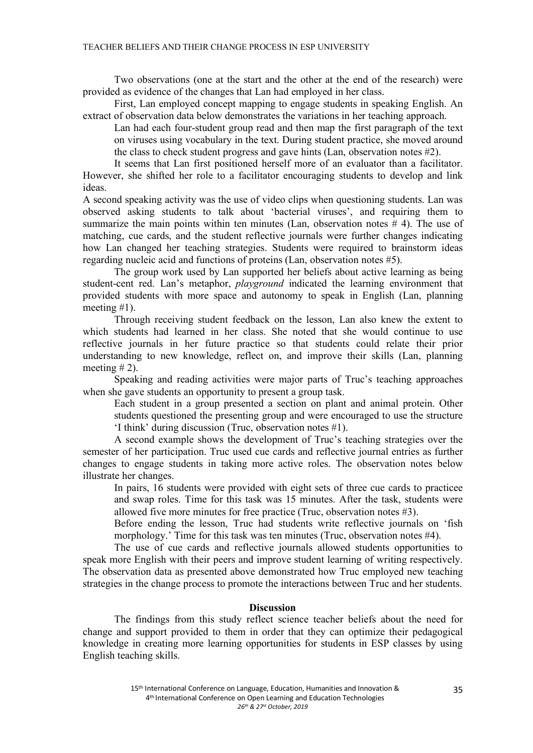Two observations (one at the start and the other at the end of the research) were provided as evidence of the changes that Lan had employed in her class.

First, Lan employed concept mapping to engage students in speaking English. An extract of observation data below demonstrates the variations in her teaching approach.

Lan had each four-student group read and then map the first paragraph of the text on viruses using vocabulary in the text. During student practice, she moved around the class to check student progress and gave hints (Lan, observation notes #2).

It seems that Lan first positioned herself more of an evaluator than a facilitator. However, she shifted her role to a facilitator encouraging students to develop and link ideas.

A second speaking activity was the use of video clips when questioning students. Lan was observed asking students to talk about 'bacterial viruses', and requiring them to summarize the main points within ten minutes (Lan, observation notes # 4). The use of matching, cue cards, and the student reflective journals were further changes indicating how Lan changed her teaching strategies. Students were required to brainstorm ideas regarding nucleic acid and functions of proteins (Lan, observation notes #5).

The group work used by Lan supported her beliefs about active learning as being student-cent red. Lan's metaphor, *playground* indicated the learning environment that provided students with more space and autonomy to speak in English (Lan, planning meeting #1).

Through receiving student feedback on the lesson, Lan also knew the extent to which students had learned in her class. She noted that she would continue to use reflective journals in her future practice so that students could relate their prior understanding to new knowledge, reflect on, and improve their skills (Lan, planning meeting  $# 2$ ).

Speaking and reading activities were major parts of Truc's teaching approaches when she gave students an opportunity to present a group task.

Each student in a group presented a section on plant and animal protein. Other students questioned the presenting group and were encouraged to use the structure 'I think' during discussion (Truc, observation notes #1).

A second example shows the development of Truc's teaching strategies over the semester of her participation. Truc used cue cards and reflective journal entries as further changes to engage students in taking more active roles. The observation notes below illustrate her changes.

In pairs, 16 students were provided with eight sets of three cue cards to practicee and swap roles. Time for this task was 15 minutes. After the task, students were allowed five more minutes for free practice (Truc, observation notes #3).

Before ending the lesson, Truc had students write reflective journals on 'fish morphology.' Time for this task was ten minutes (Truc, observation notes #4).

The use of cue cards and reflective journals allowed students opportunities to speak more English with their peers and improve student learning of writing respectively. The observation data as presented above demonstrated how Truc employed new teaching strategies in the change process to promote the interactions between Truc and her students.

## **Discussion**

The findings from this study reflect science teacher beliefs about the need for change and support provided to them in order that they can optimize their pedagogical knowledge in creating more learning opportunities for students in ESP classes by using English teaching skills.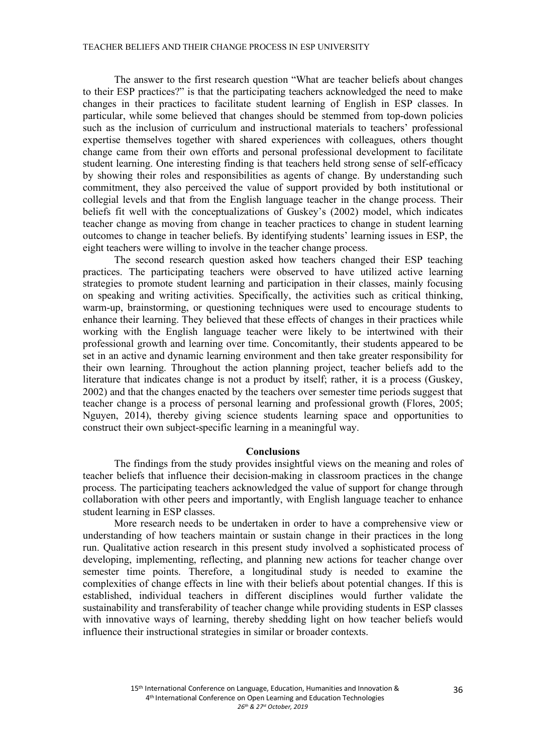#### TEACHER BELIEFS AND THEIR CHANGE PROCESS IN ESP UNIVERSITY

The answer to the first research question "What are teacher beliefs about changes to their ESP practices?" is that the participating teachers acknowledged the need to make changes in their practices to facilitate student learning of English in ESP classes. In particular, while some believed that changes should be stemmed from top-down policies such as the inclusion of curriculum and instructional materials to teachers' professional expertise themselves together with shared experiences with colleagues, others thought change came from their own efforts and personal professional development to facilitate student learning. One interesting finding is that teachers held strong sense of self-efficacy by showing their roles and responsibilities as agents of change. By understanding such commitment, they also perceived the value of support provided by both institutional or collegial levels and that from the English language teacher in the change process. Their beliefs fit well with the conceptualizations of Guskey's (2002) model, which indicates teacher change as moving from change in teacher practices to change in student learning outcomes to change in teacher beliefs. By identifying students' learning issues in ESP, the eight teachers were willing to involve in the teacher change process.

The second research question asked how teachers changed their ESP teaching practices. The participating teachers were observed to have utilized active learning strategies to promote student learning and participation in their classes, mainly focusing on speaking and writing activities. Specifically, the activities such as critical thinking, warm-up, brainstorming, or questioning techniques were used to encourage students to enhance their learning. They believed that these effects of changes in their practices while working with the English language teacher were likely to be intertwined with their professional growth and learning over time. Concomitantly, their students appeared to be set in an active and dynamic learning environment and then take greater responsibility for their own learning. Throughout the action planning project, teacher beliefs add to the literature that indicates change is not a product by itself; rather, it is a process (Guskey, 2002) and that the changes enacted by the teachers over semester time periods suggest that teacher change is a process of personal learning and professional growth (Flores, 2005; Nguyen, 2014), thereby giving science students learning space and opportunities to construct their own subject-specific learning in a meaningful way.

#### **Conclusions**

The findings from the study provides insightful views on the meaning and roles of teacher beliefs that influence their decision-making in classroom practices in the change process. The participating teachers acknowledged the value of support for change through collaboration with other peers and importantly, with English language teacher to enhance student learning in ESP classes.

More research needs to be undertaken in order to have a comprehensive view or understanding of how teachers maintain or sustain change in their practices in the long run. Qualitative action research in this present study involved a sophisticated process of developing, implementing, reflecting, and planning new actions for teacher change over semester time points. Therefore, a longitudinal study is needed to examine the complexities of change effects in line with their beliefs about potential changes. If this is established, individual teachers in different disciplines would further validate the sustainability and transferability of teacher change while providing students in ESP classes with innovative ways of learning, thereby shedding light on how teacher beliefs would influence their instructional strategies in similar or broader contexts.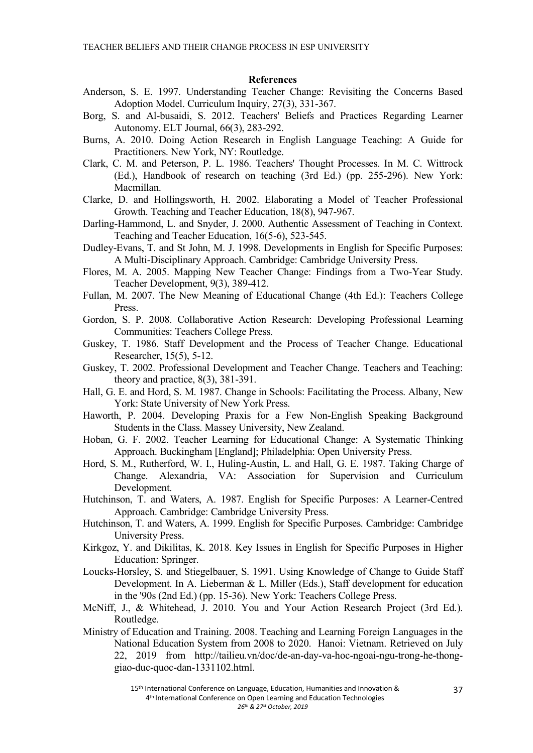#### **References**

- Anderson, S. E. 1997. Understanding Teacher Change: Revisiting the Concerns Based Adoption Model. Curriculum Inquiry, 27(3), 331-367.
- Borg, S. and Al-busaidi, S. 2012. Teachers' Beliefs and Practices Regarding Learner Autonomy. ELT Journal, 66(3), 283-292.
- Burns, A. 2010. Doing Action Research in English Language Teaching: A Guide for Practitioners. New York, NY: Routledge.
- Clark, C. M. and Peterson, P. L. 1986. Teachers' Thought Processes. In M. C. Wittrock (Ed.), Handbook of research on teaching (3rd Ed.) (pp. 255-296). New York: Macmillan.
- Clarke, D. and Hollingsworth, H. 2002. Elaborating a Model of Teacher Professional Growth. Teaching and Teacher Education, 18(8), 947-967.
- Darling-Hammond, L. and Snyder, J. 2000. Authentic Assessment of Teaching in Context. Teaching and Teacher Education, 16(5-6), 523-545.
- Dudley-Evans, T. and St John, M. J. 1998. Developments in English for Specific Purposes: A Multi-Disciplinary Approach. Cambridge: Cambridge University Press.
- Flores, M. A. 2005. Mapping New Teacher Change: Findings from a Two-Year Study. Teacher Development, 9(3), 389-412.
- Fullan, M. 2007. The New Meaning of Educational Change (4th Ed.): Teachers College Press.
- Gordon, S. P. 2008. Collaborative Action Research: Developing Professional Learning Communities: Teachers College Press.
- Guskey, T. 1986. Staff Development and the Process of Teacher Change. Educational Researcher, 15(5), 5-12.
- Guskey, T. 2002. Professional Development and Teacher Change. Teachers and Teaching: theory and practice, 8(3), 381-391.
- Hall, G. E. and Hord, S. M. 1987. Change in Schools: Facilitating the Process. Albany, New York: State University of New York Press.
- Haworth, P. 2004. Developing Praxis for a Few Non-English Speaking Background Students in the Class. Massey University, New Zealand.
- Hoban, G. F. 2002. Teacher Learning for Educational Change: A Systematic Thinking Approach. Buckingham [England]; Philadelphia: Open University Press.
- Hord, S. M., Rutherford, W. I., Huling-Austin, L. and Hall, G. E. 1987. Taking Charge of Change. Alexandria, VA: Association for Supervision and Curriculum Development.
- Hutchinson, T. and Waters, A. 1987. English for Specific Purposes: A Learner-Centred Approach. Cambridge: Cambridge University Press.
- Hutchinson, T. and Waters, A. 1999. English for Specific Purposes. Cambridge: Cambridge University Press.
- Kirkgoz, Y. and Dikilitas, K. 2018. Key Issues in English for Specific Purposes in Higher Education: Springer.
- Loucks-Horsley, S. and Stiegelbauer, S. 1991. Using Knowledge of Change to Guide Staff Development. In A. Lieberman & L. Miller (Eds.), Staff development for education in the '90s (2nd Ed.) (pp. 15-36). New York: Teachers College Press.
- McNiff, J., & Whitehead, J. 2010. You and Your Action Research Project (3rd Ed.). Routledge.
- Ministry of Education and Training. 2008. Teaching and Learning Foreign Languages in the National Education System from 2008 to 2020. Hanoi: Vietnam. Retrieved on July 22, 2019 from http://tailieu.vn/doc/de-an-day-va-hoc-ngoai-ngu-trong-he-thonggiao-duc-quoc-dan-1331102.html.